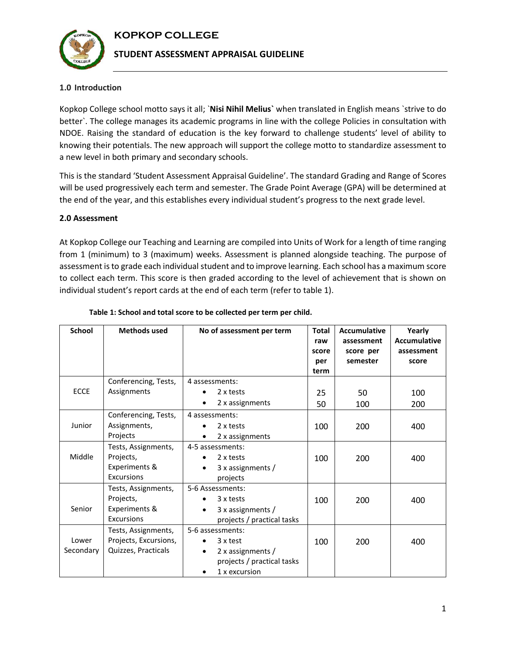# **KOPKOP COLLEGE**



### **STUDENT ASSESSMENT APPRAISAL GUIDELINE**

### **1.0 Introduction**

Kopkop College school motto says it all; `**Nisi Nihil Melius`** when translated in English means `strive to do better`. The college manages its academic programs in line with the college Policies in consultation with NDOE. Raising the standard of education is the key forward to challenge students' level of ability to knowing their potentials. The new approach will support the college motto to standardize assessment to a new level in both primary and secondary schools.

This is the standard 'Student Assessment Appraisal Guideline'. The standard Grading and Range of Scores will be used progressively each term and semester. The Grade Point Average (GPA) will be determined at the end of the year, and this establishes every individual student's progress to the next grade level.

### **2.0 Assessment**

At Kopkop College our Teaching and Learning are compiled into Units of Work for a length of time ranging from 1 (minimum) to 3 (maximum) weeks. Assessment is planned alongside teaching. The purpose of assessment is to grade each individual student and to improve learning. Each school has a maximum score to collect each term. This score is then graded according to the level of achievement that is shown on individual student's report cards at the end of each term (refer to table 1).

| School             | <b>Methods used</b>                                                 | No of assessment per term                                                                        | <b>Total</b><br>raw<br>score<br>per<br>term | <b>Accumulative</b><br>assessment<br>score per<br>semester | Yearly<br><b>Accumulative</b><br>assessment<br>score |
|--------------------|---------------------------------------------------------------------|--------------------------------------------------------------------------------------------------|---------------------------------------------|------------------------------------------------------------|------------------------------------------------------|
| <b>ECCE</b>        | Conferencing, Tests,<br>Assignments                                 | 4 assessments:<br>2 x tests<br>2 x assignments                                                   | 25<br>50                                    | 50<br>100                                                  | 100<br>200                                           |
| Junior             | Conferencing, Tests,<br>Assignments,<br>Projects                    | 4 assessments:<br>2 x tests<br>2 x assignments                                                   | 100                                         | 200                                                        | 400                                                  |
| Middle             | Tests, Assignments,<br>Projects,<br>Experiments &<br>Excursions     | 4-5 assessments:<br>2 x tests<br>3 x assignments /<br>$\bullet$<br>projects                      | 100                                         | 200                                                        | 400                                                  |
| Senior             | Tests, Assignments,<br>Projects,<br>Experiments &<br>Excursions     | 5-6 Assessments:<br>3 x tests<br>$3x$ assignments /<br>$\bullet$<br>projects / practical tasks   | 100                                         | 200                                                        | 400                                                  |
| Lower<br>Secondary | Tests, Assignments,<br>Projects, Excursions,<br>Quizzes, Practicals | 5-6 assessments:<br>3 x test<br>2 x assignments /<br>projects / practical tasks<br>1 x excursion | 100                                         | 200                                                        | 400                                                  |

#### **Table 1: School and total score to be collected per term per child.**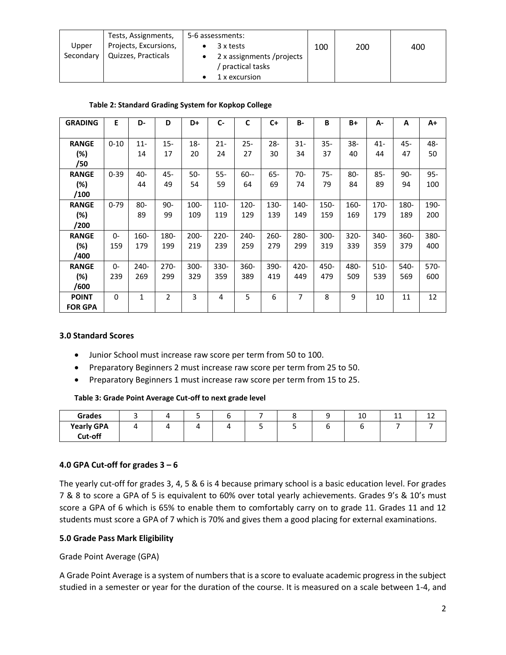|           | Tests, Assignments,   | 5-6 assessments:          |     |     |     |
|-----------|-----------------------|---------------------------|-----|-----|-----|
| Upper     | Projects, Excursions, | 3 x tests                 | 100 | 200 | 400 |
| Secondary | Quizzes, Practicals   | 2 x assignments /projects |     |     |     |
|           |                       | practical tasks           |     |     |     |
|           |                       | 1 x excursion             |     |     |     |

| Table 2: Standard Grading System for Kopkop College |  |
|-----------------------------------------------------|--|
|-----------------------------------------------------|--|

| <b>GRADING</b> | E        | D-     | D              | D+      | $C -$   | C       | $C+$    | <b>B-</b>      | B       | $B+$   | А-     | A     | $A+$   |
|----------------|----------|--------|----------------|---------|---------|---------|---------|----------------|---------|--------|--------|-------|--------|
|                |          |        |                |         |         |         |         |                |         |        |        |       |        |
| <b>RANGE</b>   | $0 - 10$ | $11 -$ | $15 -$         | 18-     | $21 -$  | $25 -$  | $28 -$  | $31 -$         | 35-     | $38-$  | $41 -$ | 45-   | 48-    |
| (%)            |          | 14     | 17             | 20      | 24      | 27      | 30      | 34             | 37      | 40     | 44     | 47    | 50     |
| /50            |          |        |                |         |         |         |         |                |         |        |        |       |        |
| <b>RANGE</b>   | $0 - 39$ | 40-    | 45-            | 50-     | $55 -$  | $60 -$  | $65 -$  | $70-$          | 75-     | $80 -$ | $85 -$ | $90-$ | $95 -$ |
| (%)            |          | 44     | 49             | 54      | 59      | 64      | 69      | 74             | 79      | 84     | 89     | 94    | 100    |
| /100           |          |        |                |         |         |         |         |                |         |        |        |       |        |
| <b>RANGE</b>   | $0 - 79$ | $80 -$ | $90 -$         | 100-    | 110-    | 120-    | 130-    | 140-           | 150-    | 160-   | 170-   | 180-  | 190-   |
| (%)            |          | 89     | 99             | 109     | 119     | 129     | 139     | 149            | 159     | 169    | 179    | 189   | 200    |
| /200           |          |        |                |         |         |         |         |                |         |        |        |       |        |
| <b>RANGE</b>   | $0-$     | 160-   | 180-           | $200 -$ | $220 -$ | $240 -$ | $260 -$ | 280-           | $300 -$ | 320-   | 340-   | 360-  | 380-   |
| $(\%)$         | 159      | 179    | 199            | 219     | 239     | 259     | 279     | 299            | 319     | 339    | 359    | 379   | 400    |
| /400           |          |        |                |         |         |         |         |                |         |        |        |       |        |
| <b>RANGE</b>   | $0-$     | $240-$ | $270-$         | 300-    | $330 -$ | 360-    | 390-    | 420-           | 450-    | 480-   | 510-   | 540-  | 570-   |
| $(\%)$         | 239      | 269    | 299            | 329     | 359     | 389     | 419     | 449            | 479     | 509    | 539    | 569   | 600    |
| /600           |          |        |                |         |         |         |         |                |         |        |        |       |        |
| <b>POINT</b>   | $\Omega$ | 1      | $\overline{2}$ | 3       | 4       | 5       | 6       | $\overline{7}$ | 8       | 9      | 10     | 11    | 12     |
| <b>FOR GPA</b> |          |        |                |         |         |         |         |                |         |        |        |       |        |

### **3.0 Standard Scores**

- Junior School must increase raw score per term from 50 to 100.
- Preparatory Beginners 2 must increase raw score per term from 25 to 50.
- Preparatory Beginners 1 must increase raw score per term from 15 to 25.

#### **Table 3: Grade Point Average Cut-off to next grade level**

| Grades            |  |  |  | 10 | -- | -- |
|-------------------|--|--|--|----|----|----|
| <b>Yearly GPA</b> |  |  |  |    |    |    |
| Cut-off           |  |  |  |    |    |    |

### **4.0 GPA Cut-off for grades 3 – 6**

The yearly cut-off for grades 3, 4, 5 & 6 is 4 because primary school is a basic education level. For grades 7 & 8 to score a GPA of 5 is equivalent to 60% over total yearly achievements. Grades 9's & 10's must score a GPA of 6 which is 65% to enable them to comfortably carry on to grade 11. Grades 11 and 12 students must score a GPA of 7 which is 70% and gives them a good placing for external examinations.

### **5.0 Grade Pass Mark Eligibility**

Grade Point Average (GPA)

A Grade Point Average is a system of numbers that is a score to evaluate academic progress in the subject studied in a semester or year for the duration of the course. It is measured on a scale between 1-4, and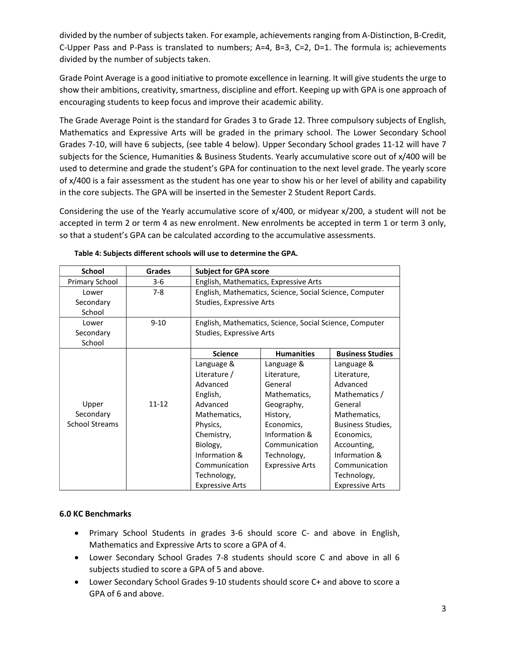divided by the number of subjects taken. For example, achievements ranging from A-Distinction, B-Credit, C-Upper Pass and P-Pass is translated to numbers;  $A=4$ ,  $B=3$ ,  $C=2$ ,  $D=1$ . The formula is; achievements divided by the number of subjects taken.

Grade Point Average is a good initiative to promote excellence in learning. It will give students the urge to show their ambitions, creativity, smartness, discipline and effort. Keeping up with GPA is one approach of encouraging students to keep focus and improve their academic ability.

The Grade Average Point is the standard for Grades 3 to Grade 12. Three compulsory subjects of English, Mathematics and Expressive Arts will be graded in the primary school. The Lower Secondary School Grades 7-10, will have 6 subjects, (see table 4 below). Upper Secondary School grades 11-12 will have 7 subjects for the Science, Humanities & Business Students. Yearly accumulative score out of x/400 will be used to determine and grade the student's GPA for continuation to the next level grade. The yearly score of x/400 is a fair assessment as the student has one year to show his or her level of ability and capability in the core subjects. The GPA will be inserted in the Semester 2 Student Report Cards.

Considering the use of the Yearly accumulative score of x/400, or midyear x/200, a student will not be accepted in term 2 or term 4 as new enrolment. New enrolments be accepted in term 1 or term 3 only, so that a student's GPA can be calculated according to the accumulative assessments.

| <b>School</b>         | <b>Grades</b> | <b>Subject for GPA score</b>                            |                                                         |                         |  |  |  |  |
|-----------------------|---------------|---------------------------------------------------------|---------------------------------------------------------|-------------------------|--|--|--|--|
| Primary School        | $3-6$         | English, Mathematics, Expressive Arts                   |                                                         |                         |  |  |  |  |
| Lower                 | $7-8$         | English, Mathematics, Science, Social Science, Computer |                                                         |                         |  |  |  |  |
| Secondary             |               | Studies, Expressive Arts                                |                                                         |                         |  |  |  |  |
| School                |               |                                                         |                                                         |                         |  |  |  |  |
| Lower                 | $9 - 10$      |                                                         | English, Mathematics, Science, Social Science, Computer |                         |  |  |  |  |
| Secondary             |               | Studies, Expressive Arts                                |                                                         |                         |  |  |  |  |
| School                |               |                                                         |                                                         |                         |  |  |  |  |
|                       |               | <b>Science</b>                                          | <b>Humanities</b>                                       | <b>Business Studies</b> |  |  |  |  |
|                       |               | Language &                                              | Language &                                              | Language &              |  |  |  |  |
|                       |               | Literature /                                            | Literature,                                             | Literature,             |  |  |  |  |
|                       |               | Advanced                                                | General                                                 | Advanced                |  |  |  |  |
|                       |               | English,                                                | Mathematics,                                            | Mathematics /           |  |  |  |  |
| Upper                 | $11 - 12$     | Advanced                                                | Geography,                                              | General                 |  |  |  |  |
| Secondary             |               | Mathematics,                                            | History,                                                | Mathematics,            |  |  |  |  |
| <b>School Streams</b> |               | Physics,                                                | Economics,                                              | Business Studies,       |  |  |  |  |
|                       |               | Chemistry,                                              | Information &                                           | Economics,              |  |  |  |  |
|                       |               | Biology,                                                | Communication                                           | Accounting,             |  |  |  |  |
|                       |               | Information &                                           | Technology,                                             | Information &           |  |  |  |  |
|                       |               | Communication                                           | <b>Expressive Arts</b>                                  | Communication           |  |  |  |  |
|                       |               | Technology,                                             |                                                         | Technology,             |  |  |  |  |
|                       |               | <b>Expressive Arts</b>                                  |                                                         | <b>Expressive Arts</b>  |  |  |  |  |

**Table 4: Subjects different schools will use to determine the GPA.**

# **6.0 KC Benchmarks**

- Primary School Students in grades 3-6 should score C- and above in English, Mathematics and Expressive Arts to score a GPA of 4.
- Lower Secondary School Grades 7-8 students should score C and above in all 6 subjects studied to score a GPA of 5 and above.
- Lower Secondary School Grades 9-10 students should score C+ and above to score a GPA of 6 and above.